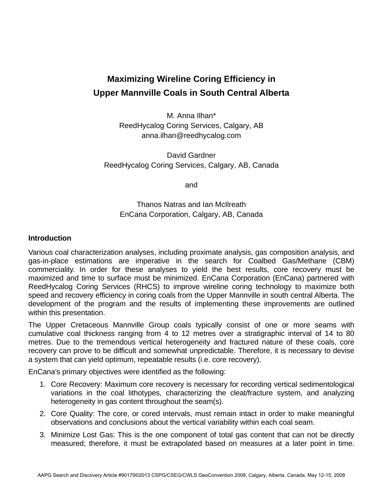# **Maximizing Wireline Coring Efficiency in Upper Mannville Coals in South Central Alberta**

M. Anna Ilhan\* ReedHycalog Coring Services, Calgary, AB anna.ilhan@reedhycalog.com

David Gardner ReedHycalog Coring Services, Calgary, AB, Canada

and

## Thanos Natras and Ian McIlreath EnCana Corporation, Calgary, AB, Canada

## **Introduction**

Various coal characterization analyses, including proximate analysis, gas composition analysis, and gas-in-place estimations are imperative in the search for Coalbed Gas/Methane (CBM) commerciality. In order for these analyses to yield the best results, core recovery must be maximized and time to surface must be minimized. EnCana Corporation (EnCana) partnered with ReedHycalog Coring Services (RHCS) to improve wireline coring technology to maximize both speed and recovery efficiency in coring coals from the Upper Mannville in south central Alberta. The development of the program and the results of implementing these improvements are outlined within this presentation.

The Upper Cretaceous Mannville Group coals typically consist of one or more seams with cumulative coal thickness ranging from 4 to 12 metres over a stratigraphic interval of 14 to 80 metres. Due to the tremendous vertical heterogeneity and fractured nature of these coals, core recovery can prove to be difficult and somewhat unpredictable. Therefore, it is necessary to devise a system that can yield optimum, repeatable results (i.e. core recovery).

EnCana's primary objectives were identified as the following:

- 1. Core Recovery: Maximum core recovery is necessary for recording vertical sedimentological variations in the coal lithotypes, characterizing the cleat/fracture system, and analyzing heterogeneity in gas content throughout the seam(s).
- 2. Core Quality: The core, or cored intervals, must remain intact in order to make meaningful observations and conclusions about the vertical variability within each coal seam.
- 3. Minimize Lost Gas: This is the one component of total gas content that can not be directly measured; therefore, it must be extrapolated based on measures at a later point in time.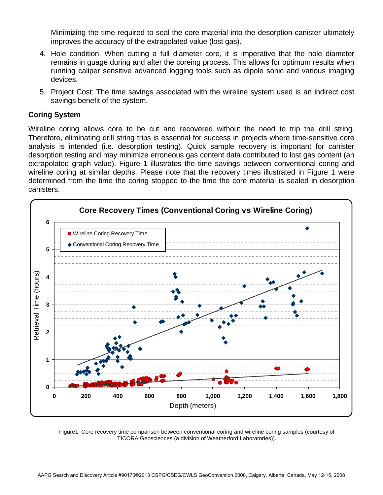Minimizing the time required to seal the core material into the desorption canister ultimately improves the accuracy of the extrapolated value (lost gas).

- 4. Hole condition: When cutting a full diameter core, it is imperative that the hole diameter remains in guage during and after the coreing process. This allows for optimum results when running caliper sensitive advanced logging tools such as dipole sonic and various imaging devices.
- 5. Project Cost: The time savings associated with the wireline system used is an indirect cost savings benefit of the system.

## **Coring System**

Wireline coring allows core to be cut and recovered without the need to trip the drill string. Therefore, eliminating drill string trips is essential for success in projects where time-sensitive core analysis is intended (i.e. desorption testing). Quick sample recovery is important for canister desorption testing and may minimize erroneous gas content data contributed to lost gas content (an extrapolated graph value). Figure 1 illustrates the time savings between conventional coring and wireline coring at similar depths. Please note that the recovery times illustrated in Figure 1 were determined from the time the coring stopped to the time the core material is sealed in desorption canisters.



Figure1: Core recovery time comparison between conventional coring and wireline coring samples (courtesy of TICORA Geosciences (a division of Weatherford Laboratories)).